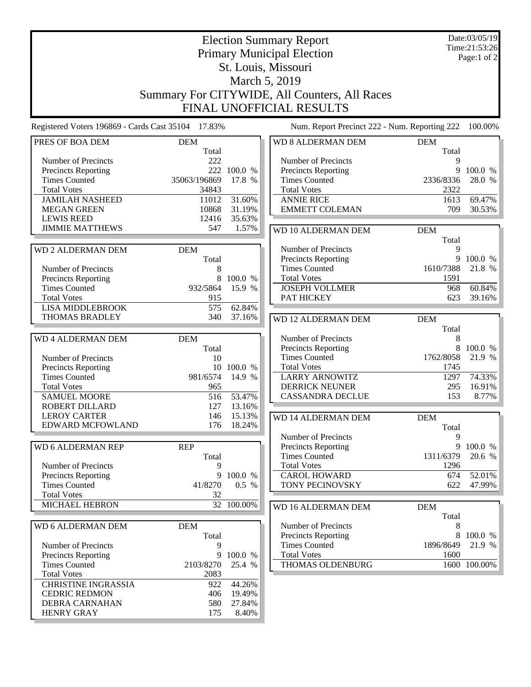Date:03/05/19 Time:21:53:26 Page:1 of 2

## Election Summary Report Primary Municipal Election St. Louis, Missouri March 5, 2019 Summary For CITYWIDE, All Counters, All Races FINAL UNOFFICIAL RESULTS

Registered Voters 196869 - Cards Cast 35104 17.83% Num. Report Precinct 222 - Num. Reporting 222 100.00%

| PRES OF BOA DEM            | <b>DEM</b>   |             | <b>WD 8 ALDERMAN DEM</b>   | <b>DEM</b> |              |
|----------------------------|--------------|-------------|----------------------------|------------|--------------|
|                            | Total        |             |                            | Total      |              |
| Number of Precincts        | 222          |             | Number of Precincts        | 9          |              |
| Precincts Reporting        |              | 222 100.0 % | <b>Precincts Reporting</b> | 9          | 100.0 %      |
| <b>Times Counted</b>       | 35063/196869 | 17.8 %      | <b>Times Counted</b>       | 2336/8336  | 28.0 %       |
| <b>Total Votes</b>         | 34843        |             | <b>Total Votes</b>         | 2322       |              |
| <b>JAMILAH NASHEED</b>     | 11012        | 31.60%      | <b>ANNIE RICE</b>          | 1613       | 69.47%       |
| <b>MEGAN GREEN</b>         | 10868        | 31.19%      | <b>EMMETT COLEMAN</b>      | 709        | 30.53%       |
| <b>LEWIS REED</b>          | 12416        | 35.63%      |                            |            |              |
| <b>JIMMIE MATTHEWS</b>     | 547          | 1.57%       | WD 10 ALDERMAN DEM         | <b>DEM</b> |              |
|                            |              |             |                            | Total      |              |
| <b>WD 2 ALDERMAN DEM</b>   | <b>DEM</b>   |             | Number of Precincts        | 9          |              |
|                            | Total        |             | Precincts Reporting        |            | 9 100.0 %    |
| Number of Precincts        | 8            |             | <b>Times Counted</b>       | 1610/7388  | 21.8 %       |
| Precincts Reporting        | 8            | 100.0 %     | <b>Total Votes</b>         | 1591       |              |
| <b>Times Counted</b>       | 932/5864     | 15.9 %      | <b>JOSEPH VOLLMER</b>      | 968        | 60.84%       |
| <b>Total Votes</b>         | 915          |             | PAT HICKEY                 | 623        | 39.16%       |
| <b>LISA MIDDLEBROOK</b>    | 575          | 62.84%      |                            |            |              |
| <b>THOMAS BRADLEY</b>      | 340          | 37.16%      |                            |            |              |
|                            |              |             | <b>WD 12 ALDERMAN DEM</b>  | <b>DEM</b> |              |
|                            |              |             |                            | Total      |              |
| <b>WD 4 ALDERMAN DEM</b>   | <b>DEM</b>   |             | Number of Precincts        | 8          |              |
|                            | Total        |             | <b>Precincts Reporting</b> | 8          | 100.0 %      |
| Number of Precincts        | 10           |             | <b>Times Counted</b>       | 1762/8058  | 21.9 %       |
| <b>Precincts Reporting</b> |              | 10 100.0 %  | <b>Total Votes</b>         | 1745       |              |
| <b>Times Counted</b>       | 981/6574     | 14.9 %      | <b>LARRY ARNOWITZ</b>      | 1297       | 74.33%       |
| <b>Total Votes</b>         | 965          |             | <b>DERRICK NEUNER</b>      | 295        | 16.91%       |
| <b>SAMUEL MOORE</b>        | 516          | 53.47%      | <b>CASSANDRA DECLUE</b>    | 153        | 8.77%        |
| ROBERT DILLARD             | 127          | 13.16%      |                            |            |              |
| <b>LEROY CARTER</b>        | 146          | 15.13%      | <b>WD 14 ALDERMAN DEM</b>  | <b>DEM</b> |              |
| EDWARD MCFOWLAND           | 176          | 18.24%      |                            | Total      |              |
|                            |              |             | Number of Precincts        | 9          |              |
| <b>WD 6 ALDERMAN REP</b>   | <b>REP</b>   |             | Precincts Reporting        |            | 9 100.0 %    |
|                            | Total        |             | <b>Times Counted</b>       | 1311/6379  | 20.6 %       |
| Number of Precincts        | 9            |             | <b>Total Votes</b>         | 1296       |              |
| <b>Precincts Reporting</b> | 9            | 100.0 %     | <b>CAROL HOWARD</b>        | 674        | 52.01%       |
| <b>Times Counted</b>       | 41/8270      | 0.5 %       | TONY PECINOVSKY            | 622        | 47.99%       |
| <b>Total Votes</b>         | 32           |             |                            |            |              |
| <b>MICHAEL HEBRON</b>      |              | 32 100.00%  | WD 16 ALDERMAN DEM         | <b>DEM</b> |              |
|                            |              |             |                            | Total      |              |
| WD 6 ALDERMAN DEM          | <b>DEM</b>   |             | Number of Precincts        | 8          |              |
|                            | Total        |             | <b>Precincts Reporting</b> | 8          | 100.0 %      |
| Number of Precincts        | 9            |             | <b>Times Counted</b>       | 1896/8649  | 21.9 %       |
| Precincts Reporting        |              | 9 100.0 %   | <b>Total Votes</b>         | 1600       |              |
| <b>Times Counted</b>       | 2103/8270    | 25.4 %      | THOMAS OLDENBURG           |            | 1600 100.00% |
| <b>Total Votes</b>         | 2083         |             |                            |            |              |
| <b>CHRISTINE INGRASSIA</b> | 922          | 44.26%      |                            |            |              |
| <b>CEDRIC REDMON</b>       | 406          | 19.49%      |                            |            |              |
| DEBRA CARNAHAN             | 580          | 27.84%      |                            |            |              |
| <b>HENRY GRAY</b>          | 175          | 8.40%       |                            |            |              |
|                            |              |             |                            |            |              |